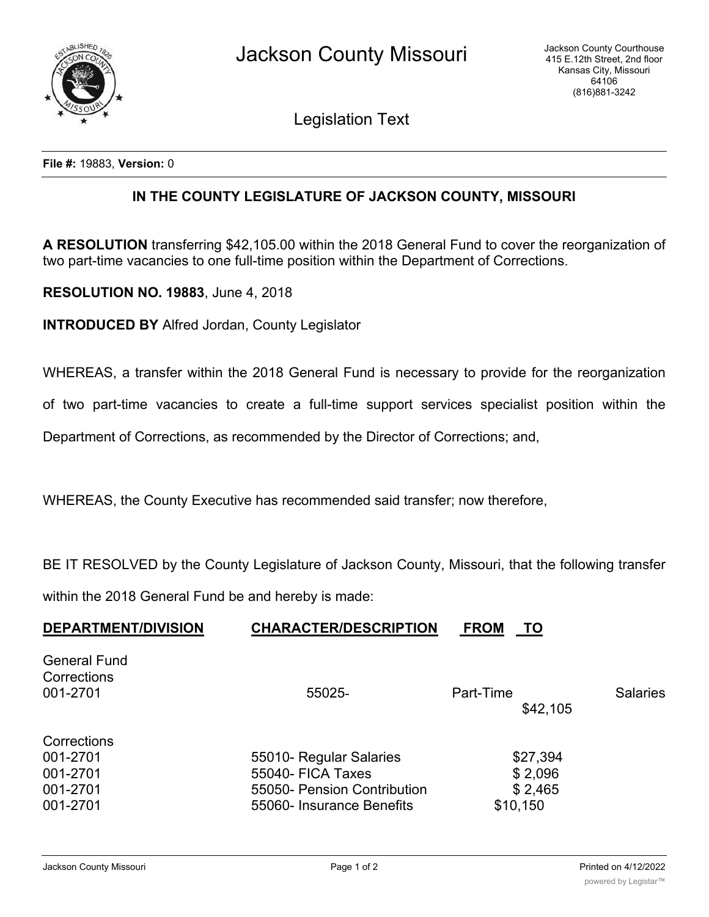

Legislation Text

**File #:** 19883, **Version:** 0

## **IN THE COUNTY LEGISLATURE OF JACKSON COUNTY, MISSOURI**

**A RESOLUTION** transferring \$42,105.00 within the 2018 General Fund to cover the reorganization of two part-time vacancies to one full-time position within the Department of Corrections.

**RESOLUTION NO. 19883**, June 4, 2018

**INTRODUCED BY** Alfred Jordan, County Legislator

WHEREAS, a transfer within the 2018 General Fund is necessary to provide for the reorganization

of two part-time vacancies to create a full-time support services specialist position within the

Department of Corrections, as recommended by the Director of Corrections; and,

WHEREAS, the County Executive has recommended said transfer; now therefore,

BE IT RESOLVED by the County Legislature of Jackson County, Missouri, that the following transfer

within the 2018 General Fund be and hereby is made:

| <b>DEPARTMENT/DIVISION</b>                     | <b>CHARACTER/DESCRIPTION</b> | <b>FROM</b><br>TO     |                 |
|------------------------------------------------|------------------------------|-----------------------|-----------------|
| <b>General Fund</b><br>Corrections<br>001-2701 | 55025-                       | Part-Time<br>\$42,105 | <b>Salaries</b> |
|                                                |                              |                       |                 |
| Corrections                                    |                              |                       |                 |
| 001-2701                                       | 55010- Regular Salaries      | \$27,394              |                 |
| 001-2701                                       | 55040- FICA Taxes            | \$2,096               |                 |
| 001-2701                                       | 55050- Pension Contribution  | \$2,465               |                 |
| 001-2701                                       | 55060- Insurance Benefits    | \$10,150              |                 |